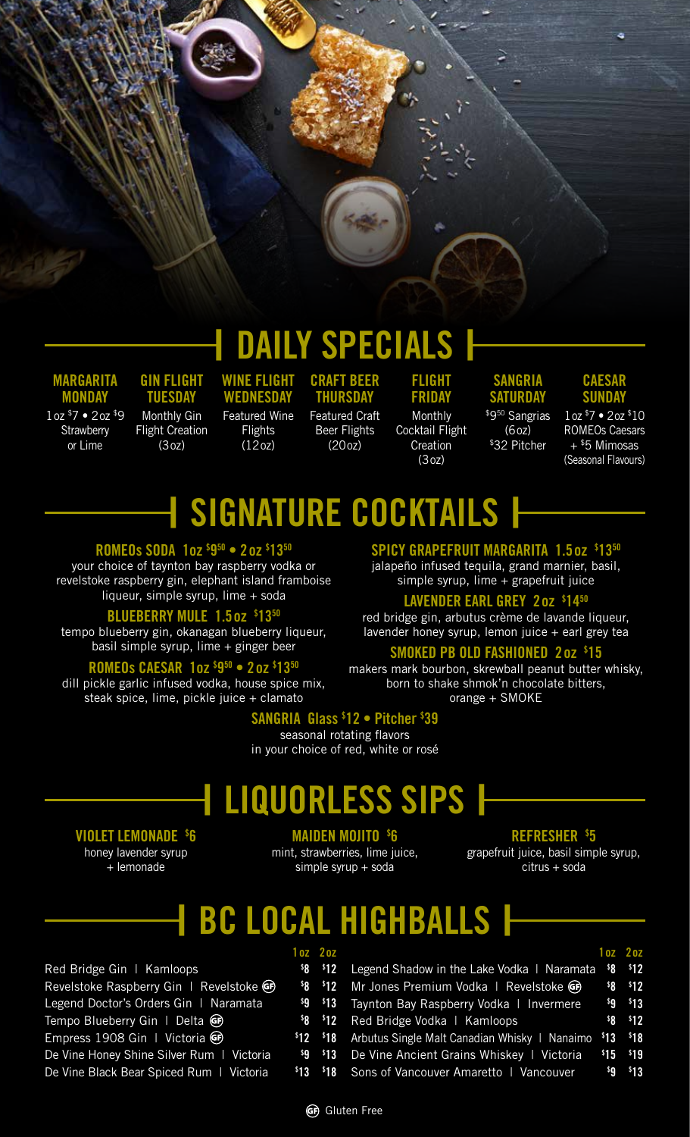# **| DAILY SPECIALS |**

**MARGARITA MONDAY** 

1oz \$7 • 2oz \$9 **Strawberry** or Lime

**GIN FLIGHT TUESDAY** Monthly Gin Flight Creation

 $(3<sub>07</sub>)$ 

**WEDNESDAY**  Featured Wine **Flights**  $(120z)$ 

**WINE FLIGHT** 

**CRAFT BEER THURSDAY** Featured Craft Beer Flights  $(200z)$ 

**FLIGHT FRIDAY** Monthly Cocktail Flight **Creation** (3oz)

### **SANGRIA SATURDAY** \$9<sup>50</sup> Sangrias

 $(60z)$ \$32 Pitcher

#### **CAESAR SUNDAY**

1oz \$7 • 2oz \$10 ROMEOs Caesars  $+$  \$5 Mimosas (Seasonal Flavours)

# **| SIGNATURE COCKTAILS |**

#### **ROMEOs SODA 1oz \$ 950 • 2oz \$ 1350**

your choice of taynton bay raspberry vodka or revelstoke raspberry gin, elephant island framboise liqueur, simple syrup, lime + soda

#### **BLUEBERRY MULE 1.5oz \$ 1350**

tempo blueberry gin, okanagan blueberry liqueur, basil simple syrup, lime  $+$  ginger beer

#### **ROMEOs CAESAR 1oz \$ 950 • 2oz \$ 1350**

dill pickle garlic infused vodka, house spice mix, steak spice, lime, pickle juice + clamato

#### **SPICY GRAPEFRUIT MARGARITA 1.5oz \$ 1350**

jalapeño infused tequila, grand marnier, basil, simple syrup, lime + grapefruit juice

#### **LAVENDER EARL GREY 2oz \$ 1450**

red bridge gin, arbutus crème de lavande liqueur, lavender honey syrup, lemon juice  $+$  earl grey tea

#### **SMOKED PB OLD FASHIONED 2oz \$ 15**

makers mark bourbon, skrewball peanut butter whisky, born to shake shmok'n chocolate bitters, orange + SMOKE

#### **SANGRIA Glass \$ 12 • Pitcher \$ 39**

seasonal rotating flavors in your choice of red, white or rosé

### **| LIQUORLESS SIPS |**

#### **VIOLET LEMONADE \$ 6**

honey lavender syrup + lemonade

Red Bridge

Revelstoke Raspberry Gin | Revelstoke **\$**

Legend Doc

Tempo Blue

Empress 19

De Vine Hor

De Vine Bla

#### **MAIDEN MOJITO \$ 6**

mint, strawberries, lime juice, simple syrup + soda

#### **REFRESHER \$ 5**

grapefruit juice, basil simple syrup, citrus + soda

### **| BC LOCAL HIGHBALLS |**

|                                 | 1 oz 2 oz |                                                                                                           | $10z$ $20z$ |                      |
|---------------------------------|-----------|-----------------------------------------------------------------------------------------------------------|-------------|----------------------|
| Gin   Kamloops                  |           | <sup>\$8</sup> <sup>\$12</sup> Legend Shadow in the Lake Vodka   Naramata <sup>\$</sup> 8 <sup>\$12</sup> |             |                      |
| Raspberry Gin   Revelstoke GD   |           | \$8 \$12 Mr Jones Premium Vodka   Revelstoke GP                                                           |             | $$8 \t312$           |
| tor's Orders Gin   Naramata     |           | <sup>\$9</sup> <sup>\$13</sup> Taynton Bay Raspberry Vodka   Invermere                                    |             | ${}^{5}9$ ${}^{5}13$ |
| eberry Gin   Delta GP           |           | <sup>\$8</sup> <sup>\$12</sup> Red Bridge Vodka   Kamloops                                                |             | $$8 \t312$           |
| 908 Gin I Victoria GP           |           | \$12 \$18 Arbutus Single Malt Canadian Whisky   Nanaimo \$13 \$18                                         |             |                      |
| ney Shine Silver Rum   Victoria |           | \$9 \$13 De Vine Ancient Grains Whiskey   Victoria                                                        | $$15$ \$19  |                      |
| ck Bear Spiced Rum   Victoria   |           | <sup>\$13</sup> <sup>\$18</sup> Sons of Vancouver Amaretto   Vancouver                                    | \$9 \$13    |                      |
|                                 |           |                                                                                                           |             |                      |